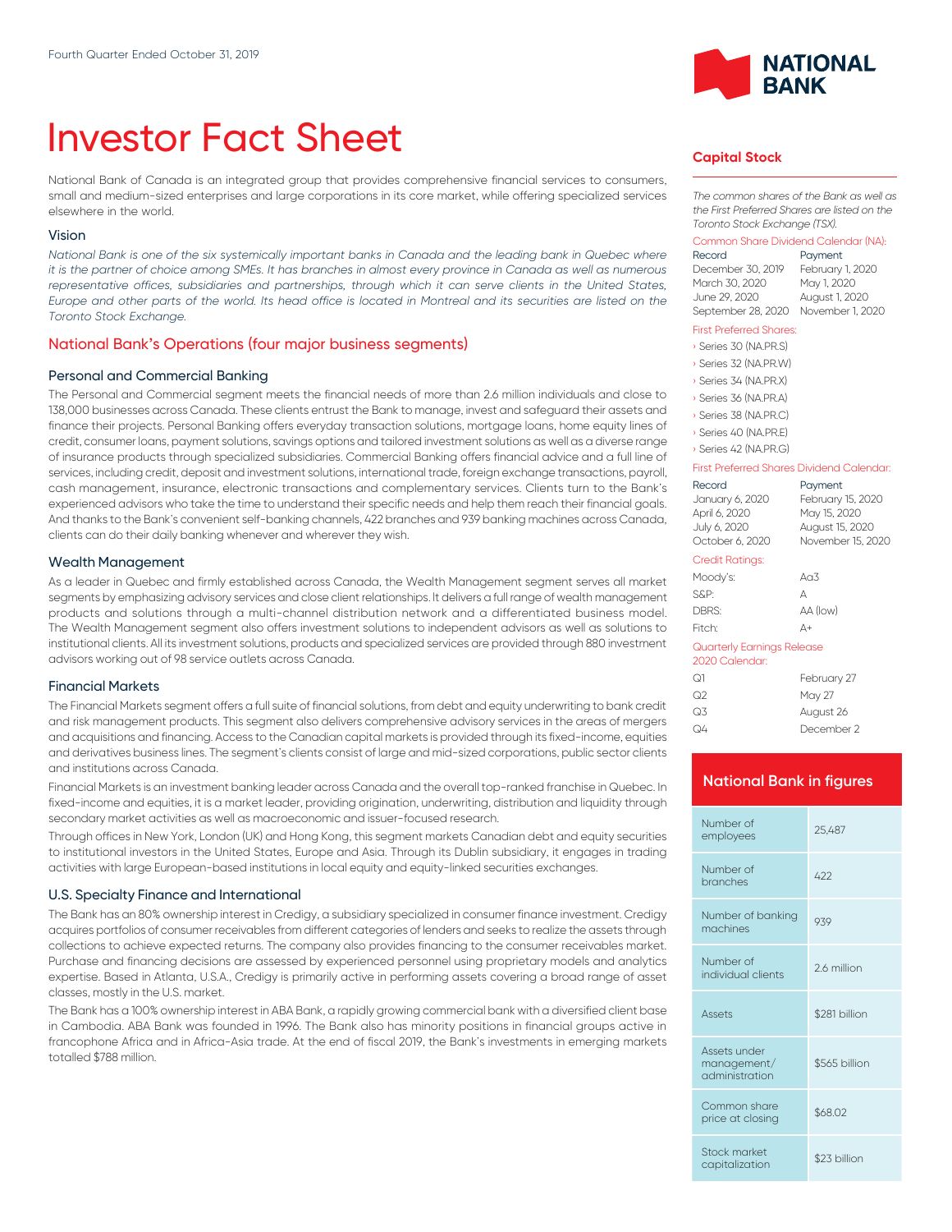# Investor Fact Sheet

National Bank of Canada is an integrated group that provides comprehensive financial services to consumers, small and medium-sized enterprises and large corporations in its core market, while offering specialized services elsewhere in the world.

#### Vision

*National Bank is one of the six systemically important banks in Canada and the leading bank in Quebec where it is the partner of choice among SMEs. It has branches in almost every province in Canada as well as numerous* representative offices, subsidiaries and partnerships, through which it can serve clients in the United States, *Europe and other parts of the world. Its head office is located in Montreal and its securities are listed on the Toronto Stock Exchange.*

### National Bank's Operations (four major business segments)

#### Personal and Commercial Banking

The Personal and Commercial segment meets the financial needs of more than 2.6 million individuals and close to 138,000 businesses across Canada. These clients entrust the Bank to manage, invest and safeguard their assets and finance their projects. Personal Banking offers everyday transaction solutions, mortgage loans, home equity lines of credit, consumer loans, payment solutions, savings options and tailored investment solutions as well as a diverse range of insurance products through specialized subsidiaries. Commercial Banking offers financial advice and a full line of services, including credit, deposit and investment solutions, international trade, foreign exchange transactions, payroll, cash management, insurance, electronic transactions and complementary services. Clients turn to the Bank's experienced advisors who take the time to understand their specific needs and help them reach their financial goals. And thanks to the Bank's convenient self-banking channels, 422 branches and 939 banking machines across Canada, clients can do their daily banking whenever and wherever they wish.

#### Wealth Management

As a leader in Quebec and firmly established across Canada, the Wealth Management segment serves all market segments by emphasizing advisory services and close client relationships. lt delivers a full range of wealth management products and solutions through a multi-channel distribution network and a differentiated business model. The Wealth Management segment also offers investment solutions to independent advisors as well as solutions to institutional clients. All its investment solutions, products and specialized services are provided through 880 investment advisors working out of 98 service outlets across Canada.

#### Financial Markets

The Financial Markets segment offers a full suite of financial solutions, from debt and equity underwriting to bank credit and risk management products. This segment also delivers comprehensive advisory services in the areas of mergers and acquisitions and financing. Access to the Canadian capital markets is provided through its fixed-income, equities and derivatives business lines. The segment's clients consist of large and mid-sized corporations, public sector clients and institutions across Canada.

Financial Markets is an investment banking leader across Canada and the overall top-ranked franchise in Quebec. In fixed-income and equities, it is a market leader, providing origination, underwriting, distribution and liquidity through secondary market activities as well as macroeconomic and issuer-focused research.

Through offices in New York, London (UK) and Hong Kong, this segment markets Canadian debt and equity securities to institutional investors in the United States, Europe and Asia. Through its Dublin subsidiary, it engages in trading activities with large European-based institutions in local equity and equity-linked securities exchanges.

#### U.S. Specialty Finance and International

The Bank has an 80% ownership interest in Credigy, a subsidiary specialized in consumer finance investment. Credigy acquires portfolios of consumer receivables from different categories of lenders and seeks to realize the assets through collections to achieve expected returns. The company also provides financing to the consumer receivables market. Purchase and financing decisions are assessed by experienced personnel using proprietary models and analytics expertise. Based in Atlanta, U.S.A., Credigy is primarily active in performing assets covering a broad range of asset classes, mostly in the U.S. market.

The Bank has a 100% ownership interest in ABA Bank, a rapidly growing commercial bank with a diversified client base in Cambodia. ABA Bank was founded in 1996. The Bank also has minority positions in financial groups active in francophone Africa and in Africa-Asia trade. At the end of fiscal 2019, the Bank's investments in emerging markets totalled \$788 million.



## **Capital Stock**

*The common shares of the Bank as well as the First Preferred Shares are listed on the Toronto Stock Exchange (TSX).*

## Common Share Dividend Calendar (NA):

Payment December 30, 2019 February 1, 2020 March 30, 2020 June 29, 2020 August 1, 2020 September 28, 2020 November 1, 2020

#### First Preferred Shares:

| Series 30 (NA.PR.S)   |
|-----------------------|
| Series 32 (NA.PR.W)   |
| Series 34 (NA, PR, X) |
| Series 36 (NA.PR.A)   |
| Series 38 (NA.PR.C)   |
| Series 40 (NA.PR.E)   |

› Series 42 (NA.PR.G)

#### First Preferred Shares Dividend Calendar:

| Record<br>January 6, 2020<br>April 6, 2020<br>July 6, 2020<br>October 6, 2020 | Payment<br>February 15, 2020<br>May 15, 2020<br>August 15, 2020<br>November 15, 2020 |
|-------------------------------------------------------------------------------|--------------------------------------------------------------------------------------|
| Credit Ratings:                                                               |                                                                                      |
| Moody's:                                                                      | A <sub>0</sub> 3                                                                     |
| S&P:                                                                          | А                                                                                    |
| DBRS:                                                                         | AA (low)                                                                             |
| Fitch:                                                                        | Δ+                                                                                   |
| Quarterly Earnings Release<br>2020 Calendar:                                  |                                                                                      |
|                                                                               |                                                                                      |

| ೧1 | February 27 |
|----|-------------|
| ೧2 | May 27      |
| Q3 | August 26   |
| Q4 | December 2  |

#### **National Bank in figures**

| Number of<br>employees                        | 25.487        |  |
|-----------------------------------------------|---------------|--|
| Number of<br>branches                         | 422           |  |
| Number of banking<br>machines                 | 939           |  |
| Number of<br>individual clients               | 26 million    |  |
| <b>Assets</b>                                 | \$281 billion |  |
| Assets under<br>management/<br>administration | \$565 billion |  |
|                                               |               |  |
| Common share<br>price at closing              | \$68.02       |  |